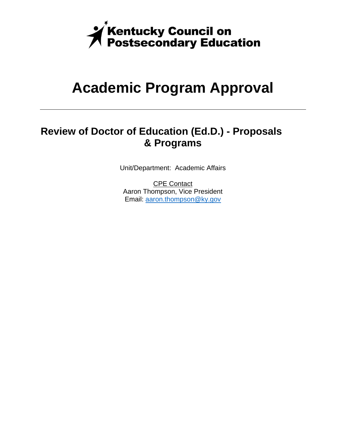

## **Academic Program Approval**

## **Review of Doctor of Education (Ed.D.) - Proposals & Programs**

Unit/Department: Academic Affairs

CPE Contact Aaron Thompson, Vice President Email: aaron.thompson@ky.gov